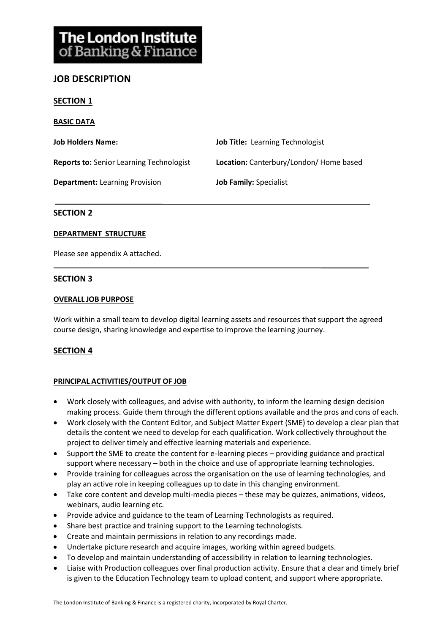# **JOB DESCRIPTION**

#### **SECTION 1**

**BASIC DATA**

| <b>Job Holders Name:</b>                        | <b>Job Title:</b> Learning Technologist |
|-------------------------------------------------|-----------------------------------------|
| <b>Reports to:</b> Senior Learning Technologist | Location: Canterbury/London/Home based  |
| <b>Department:</b> Learning Provision           | <b>Job Family: Specialist</b>           |

## **SECTION 2**

#### **DEPARTMENT STRUCTURE**

Please see appendix A attached.

## **SECTION 3**

#### **OVERALL JOB PURPOSE**

Work within a small team to develop digital learning assets and resources that support the agreed course design, sharing knowledge and expertise to improve the learning journey.

#### **SECTION 4**

#### **PRINCIPAL ACTIVITIES/OUTPUT OF JOB**

- Work closely with colleagues, and advise with authority, to inform the learning design decision making process. Guide them through the different options available and the pros and cons of each.
- Work closely with the Content Editor, and Subject Matter Expert (SME) to develop a clear plan that details the content we need to develop for each qualification. Work collectively throughout the project to deliver timely and effective learning materials and experience.
- Support the SME to create the content for e-learning pieces providing guidance and practical support where necessary – both in the choice and use of appropriate learning technologies.
- Provide training for colleagues across the organisation on the use of learning technologies, and play an active role in keeping colleagues up to date in this changing environment.
- Take core content and develop multi-media pieces these may be quizzes, animations, videos, webinars, audio learning etc.
- Provide advice and guidance to the team of Learning Technologists as required.
- Share best practice and training support to the Learning technologists.
- Create and maintain permissions in relation to any recordings made.
- Undertake picture research and acquire images, working within agreed budgets.
- To develop and maintain understanding of accessibility in relation to learning technologies.
- Liaise with Production colleagues over final production activity. Ensure that a clear and timely brief is given to the Education Technology team to upload content, and support where appropriate.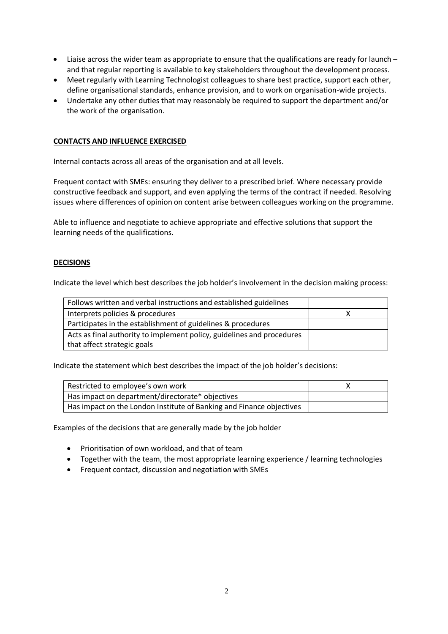- Liaise across the wider team as appropriate to ensure that the qualifications are ready for launch and that regular reporting is available to key stakeholders throughout the development process.
- Meet regularly with Learning Technologist colleagues to share best practice, support each other, define organisational standards, enhance provision, and to work on organisation-wide projects.
- Undertake any other duties that may reasonably be required to support the department and/or the work of the organisation.

#### **CONTACTS AND INFLUENCE EXERCISED**

Internal contacts across all areas of the organisation and at all levels.

Frequent contact with SMEs: ensuring they deliver to a prescribed brief. Where necessary provide constructive feedback and support, and even applying the terms of the contract if needed. Resolving issues where differences of opinion on content arise between colleagues working on the programme.

Able to influence and negotiate to achieve appropriate and effective solutions that support the learning needs of the qualifications.

#### **DECISIONS**

Indicate the level which best describes the job holder's involvement in the decision making process:

| Follows written and verbal instructions and established guidelines     |  |
|------------------------------------------------------------------------|--|
| Interprets policies & procedures                                       |  |
| Participates in the establishment of guidelines & procedures           |  |
| Acts as final authority to implement policy, guidelines and procedures |  |
| that affect strategic goals                                            |  |

Indicate the statement which best describes the impact of the job holder's decisions:

| Restricted to employee's own work                                    |  |
|----------------------------------------------------------------------|--|
| Has impact on department/directorate* objectives                     |  |
| Has impact on the London Institute of Banking and Finance objectives |  |

Examples of the decisions that are generally made by the job holder

- Prioritisation of own workload, and that of team
- Together with the team, the most appropriate learning experience / learning technologies
- Frequent contact, discussion and negotiation with SMEs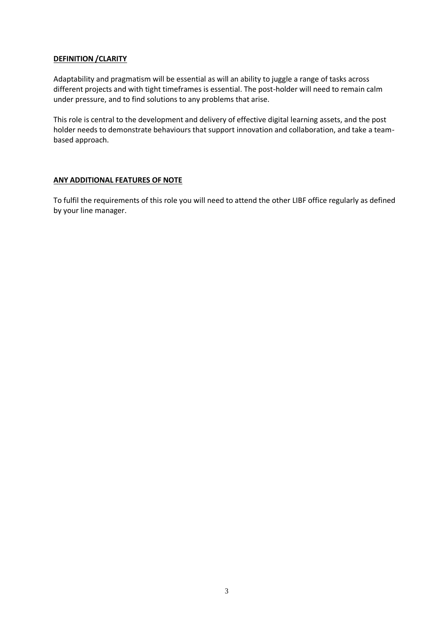## **DEFINITION /CLARITY**

Adaptability and pragmatism will be essential as will an ability to juggle a range of tasks across different projects and with tight timeframes is essential. The post-holder will need to remain calm under pressure, and to find solutions to any problems that arise.

This role is central to the development and delivery of effective digital learning assets, and the post holder needs to demonstrate behaviours that support innovation and collaboration, and take a teambased approach.

## **ANY ADDITIONAL FEATURES OF NOTE**

To fulfil the requirements of this role you will need to attend the other LIBF office regularly as defined by your line manager.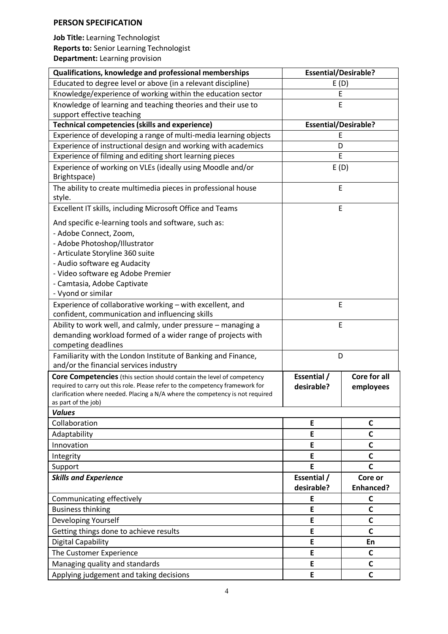## **PERSON SPECIFICATION**

**Job Title:** Learning Technologist **Reports to:** Senior Learning Technologist **Department:** Learning provision

| Qualifications, knowledge and professional memberships                                                       | <b>Essential/Desirable?</b> |              |
|--------------------------------------------------------------------------------------------------------------|-----------------------------|--------------|
| Educated to degree level or above (in a relevant discipline)                                                 | E(D)                        |              |
| Knowledge/experience of working within the education sector                                                  | E                           |              |
| Knowledge of learning and teaching theories and their use to                                                 | E                           |              |
| support effective teaching                                                                                   |                             |              |
| <b>Technical competencies (skills and experience)</b>                                                        | <b>Essential/Desirable?</b> |              |
| Experience of developing a range of multi-media learning objects                                             | E                           |              |
| Experience of instructional design and working with academics                                                | D                           |              |
| Experience of filming and editing short learning pieces                                                      | E                           |              |
| Experience of working on VLEs (ideally using Moodle and/or<br>Brightspace)                                   | E(D)                        |              |
| The ability to create multimedia pieces in professional house<br>style.                                      | E                           |              |
| Excellent IT skills, including Microsoft Office and Teams                                                    | E                           |              |
| And specific e-learning tools and software, such as:                                                         |                             |              |
| - Adobe Connect, Zoom,                                                                                       |                             |              |
| - Adobe Photoshop/Illustrator                                                                                |                             |              |
| - Articulate Storyline 360 suite                                                                             |                             |              |
| - Audio software eg Audacity                                                                                 |                             |              |
| - Video software eg Adobe Premier                                                                            |                             |              |
| - Camtasia, Adobe Captivate                                                                                  |                             |              |
| - Vyond or similar                                                                                           |                             |              |
| Experience of collaborative working - with excellent, and<br>confident, communication and influencing skills | E                           |              |
| Ability to work well, and calmly, under pressure - managing a                                                | E                           |              |
| demanding workload formed of a wider range of projects with                                                  |                             |              |
| competing deadlines                                                                                          |                             |              |
| Familiarity with the London Institute of Banking and Finance,                                                | D                           |              |
| and/or the financial services industry                                                                       |                             |              |
| <b>Core Competencies</b> (this section should contain the level of competency                                | Essential /                 | Core for all |
| required to carry out this role. Please refer to the competency framework for                                | desirable?                  | employees    |
| clarification where needed. Placing a N/A where the competency is not required<br>as part of the job)        |                             |              |
| <b>Values</b>                                                                                                |                             |              |
| Collaboration                                                                                                | E                           | C            |
| Adaptability                                                                                                 | E                           | $\mathsf{C}$ |
| Innovation                                                                                                   | E                           | C            |
| Integrity                                                                                                    | E                           | C            |
| Support                                                                                                      | E                           | $\mathsf{C}$ |
| <b>Skills and Experience</b>                                                                                 | Essential /                 | Core or      |
|                                                                                                              | desirable?                  | Enhanced?    |
| Communicating effectively                                                                                    | E                           | C            |
| <b>Business thinking</b>                                                                                     | E                           | C            |
| Developing Yourself                                                                                          | E                           | C            |
| Getting things done to achieve results                                                                       | E                           | $\mathsf{C}$ |
| <b>Digital Capability</b>                                                                                    | E                           | En           |
| The Customer Experience                                                                                      | E                           | $\mathsf{C}$ |
| Managing quality and standards                                                                               | E                           | C            |
| Applying judgement and taking decisions                                                                      | E                           | $\mathsf{C}$ |